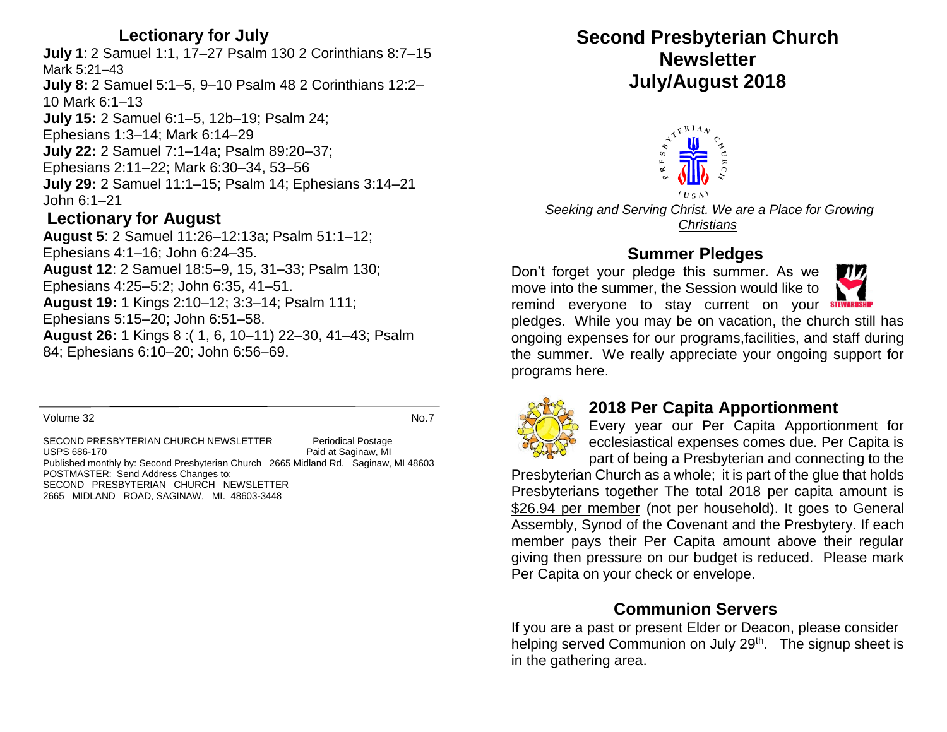#### **Lectionary for July**

**July 1**: 2 Samuel 1:1, 17–27 Psalm 130 2 Corinthians 8:7–15 Mark 5:21–43 **July 8:** 2 Samuel 5:1–5, 9–10 Psalm 48 2 Corinthians 12:2– 10 Mark 6:1–13 **July 15:** 2 Samuel 6:1–5, 12b–19; Psalm 24; Ephesians 1:3–14; Mark 6:14–29 **July 22:** 2 Samuel 7:1–14a; Psalm 89:20–37; Ephesians 2:11–22; Mark 6:30–34, 53–56 **July 29:** 2 Samuel 11:1–15; Psalm 14; Ephesians 3:14–21 John 6:1–21

#### **Lectionary for August**

**August 5**: 2 Samuel 11:26–12:13a; Psalm 51:1–12; Ephesians 4:1–16; John 6:24–35. **August 12**: 2 Samuel 18:5–9, 15, 31–33; Psalm 130; Ephesians 4:25–5:2; John 6:35, 41–51. **August 19:** 1 Kings 2:10–12; 3:3–14; Psalm 111; Ephesians 5:15–20; John 6:51–58. **August 26:** 1 Kings 8 :( 1, 6, 10–11) 22–30, 41–43; Psalm 84; Ephesians 6:10–20; John 6:56–69.

Volume 32 No.7

SECOND PRESBYTERIAN CHURCH NEWSLETTER Periodical Postage USPS 686-170 Paid at Saginaw, MI Published monthly by: Second Presbyterian Church 2665 Midland Rd. Saginaw, MI 48603 POSTMASTER: Send Address Changes to: SECOND PRESBYTERIAN CHURCH NEWSLETTER 2665 MIDLAND ROAD, SAGINAW, MI. 48603-3448

# **Second Presbyterian Church Newsletter July/August 2018**



*Seeking and Serving Christ. We are a Place for Growing Christians*

## **Summer Pledges**

Don't forget your pledge this summer. As we move into the summer, the Session would like to remind everyone to stay current on your **STEWARDS** 



pledges. While you may be on vacation, the church still has ongoing expenses for our programs,facilities, and staff during the summer. We really appreciate your ongoing support for programs here.



#### **2018 Per Capita Apportionment**

Every year our Per Capita Apportionment for ecclesiastical expenses comes due. Per Capita is part of being a Presbyterian and connecting to the

Presbyterian Church as a whole; it is part of the glue that holds Presbyterians together The total 2018 per capita amount is \$26.94 per member (not per household). It goes to General Assembly, Synod of the Covenant and the Presbytery. If each member pays their Per Capita amount above their regular giving then pressure on our budget is reduced. Please mark Per Capita on your check or envelope.

#### **Communion Servers**

If you are a past or present Elder or Deacon, please consider helping served Communion on July 29<sup>th</sup>. The signup sheet is in the gathering area.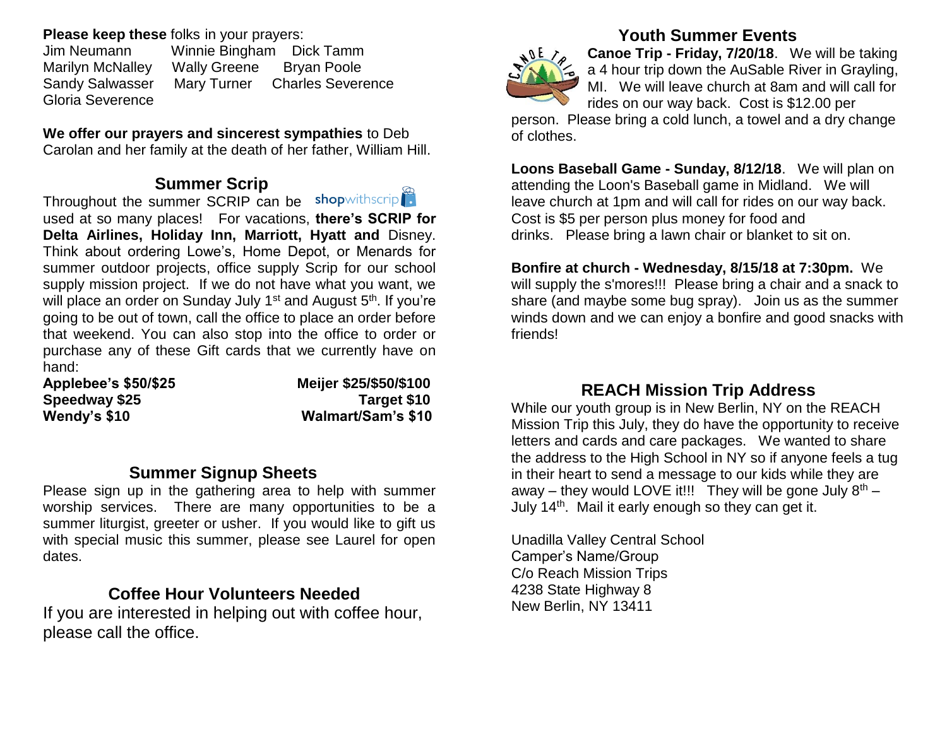#### **Please keep these** folks in your prayers:

Jim Neumann Winnie Bingham Dick Tamm Marilyn McNalley Wally Greene Bryan Poole Sandy Salwasser Mary Turner Charles Severence Gloria Severence

**We offer our prayers and sincerest sympathies** to Deb Carolan and her family at the death of her father, William Hill.

# **Summer Scrip**

Throughout the summer SCRIP can be shopwithscrip used at so many places! For vacations, **there's SCRIP for Delta Airlines, Holiday Inn, Marriott, Hyatt and** Disney. Think about ordering Lowe's, Home Depot, or Menards for summer outdoor projects, office supply Scrip for our school supply mission project. If we do not have what you want, we will place an order on Sunday July 1<sup>st</sup> and August 5<sup>th</sup>. If you're going to be out of town, call the office to place an order before that weekend. You can also stop into the office to order or purchase any of these Gift cards that we currently have on hand:

**Applebee's \$50/\$25 Meijer \$25/\$50/\$100 Speedway \$25 Target \$10 Wendy's \$10 Walmart/Sam's \$10**

# **Summer Signup Sheets**

Please sign up in the gathering area to help with summer worship services. There are many opportunities to be a summer liturgist, greeter or usher. If you would like to gift us with special music this summer, please see Laurel for open dates.

## **Coffee Hour Volunteers Needed**

If you are interested in helping out with coffee hour, please call the office.

# **Youth Summer Events**



**Canoe Trip - Friday, 7/20/18**. We will be taking a 4 hour trip down the AuSable River in Grayling, MI. We will leave church at 8am and will call for rides on our way back. Cost is \$12.00 per

person. Please bring a cold lunch, a towel and a dry change of clothes.

**Loons Baseball Game - Sunday, 8/12/18**. We will plan on attending the Loon's Baseball game in Midland. We will leave church at 1pm and will call for rides on our way back. Cost is \$5 per person plus money for food and drinks. Please bring a lawn chair or blanket to sit on.

**Bonfire at church - Wednesday, 8/15/18 at 7:30pm.** We will supply the s'mores!!! Please bring a chair and a snack to share (and maybe some bug spray). Join us as the summer winds down and we can enjoy a bonfire and good snacks with friends!

## **REACH Mission Trip Address**

While our youth group is in New Berlin, NY on the REACH Mission Trip this July, they do have the opportunity to receive letters and cards and care packages. We wanted to share the address to the High School in NY so if anyone feels a tug in their heart to send a message to our kids while they are away – they would LOVE it!!! They will be gone July  $8<sup>th</sup>$  – July 14th. Mail it early enough so they can get it.

Unadilla Valley Central School Camper's Name/Group C/o Reach Mission Trips 4238 State Highway 8 New Berlin, NY 13411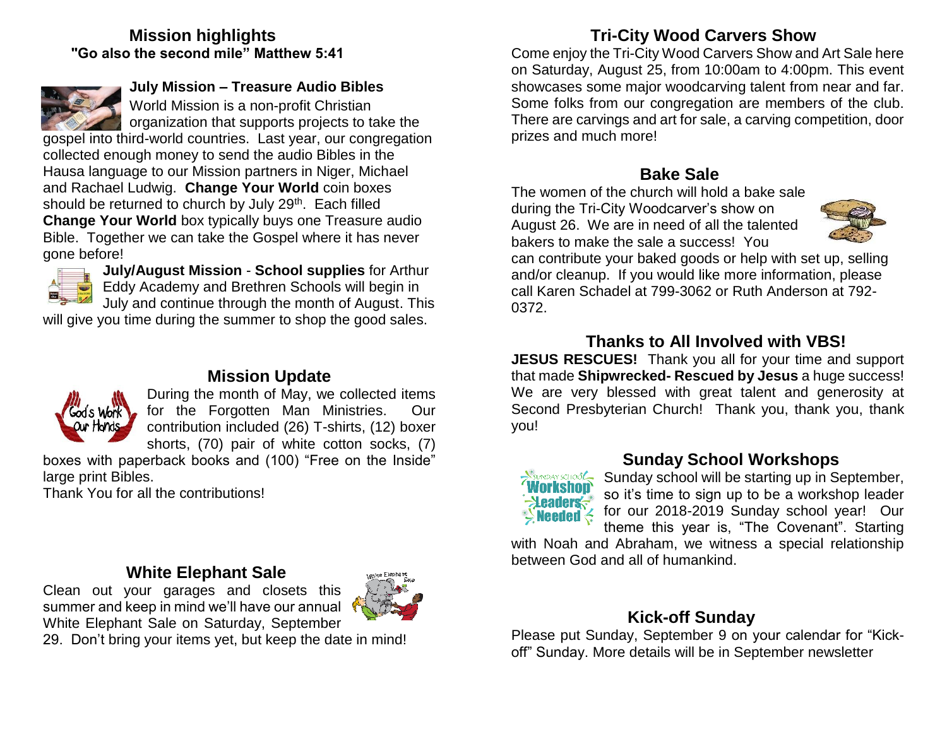#### **Mission highlights "Go also the second mile" Matthew 5:41**



#### **July Mission – Treasure Audio Bibles**

World Mission is a non-profit Christian organization that supports projects to take the

gospel into third-world countries. Last year, our congregation collected enough money to send the audio Bibles in the Hausa language to our Mission partners in Niger, Michael and Rachael Ludwig. **Change Your World** coin boxes should be returned to church by July 29<sup>th</sup>. Each filled **Change Your World** box typically buys one Treasure audio Bible. Together we can take the Gospel where it has never gone before!



**July/August Mission** - **School supplies** for Arthur Eddy Academy and Brethren Schools will begin in July and continue through the month of August. This

will give you time during the summer to shop the good sales.



#### **Mission Update**

During the month of May, we collected items for the Forgotten Man Ministries. Our contribution included (26) T-shirts, (12) boxer shorts, (70) pair of white cotton socks, (7)

boxes with paperback books and (100) "Free on the Inside" large print Bibles.

Thank You for all the contributions!

#### **White Elephant Sale**

Clean out your garages and closets this summer and keep in mind we'll have our annual White Elephant Sale on Saturday, September



29. Don't bring your items yet, but keep the date in mind!

## **Tri-City Wood Carvers Show**

Come enjoy the Tri-City Wood Carvers Show and Art Sale here on Saturday, August 25, from 10:00am to 4:00pm. This event showcases some major woodcarving talent from near and far. Some folks from our congregation are members of the club. There are carvings and art for sale, a carving competition, door prizes and much more!

### **Bake Sale**

The women of the church will hold a bake sale during the Tri-City Woodcarver's show on August 26. We are in need of all the talented bakers to make the sale a success! You



can contribute your baked goods or help with set up, selling and/or cleanup. If you would like more information, please call Karen Schadel at 799-3062 or Ruth Anderson at 792- 0372.

# **Thanks to All Involved with VBS!**

**JESUS RESCUES!** Thank you all for your time and support that made **Shipwrecked- Rescued by Jesus** a huge success! We are very blessed with great talent and generosity at Second Presbyterian Church! Thank you, thank you, thank you!



## **Sunday School Workshops**

Sunday school will be starting up in September, so it's time to sign up to be a workshop leader for our 2018-2019 Sunday school year! Our theme this year is, "The Covenant". Starting

with Noah and Abraham, we witness a special relationship between God and all of humankind.

## **Kick-off Sunday**

Please put Sunday, September 9 on your calendar for "Kickoff" Sunday. More details will be in September newsletter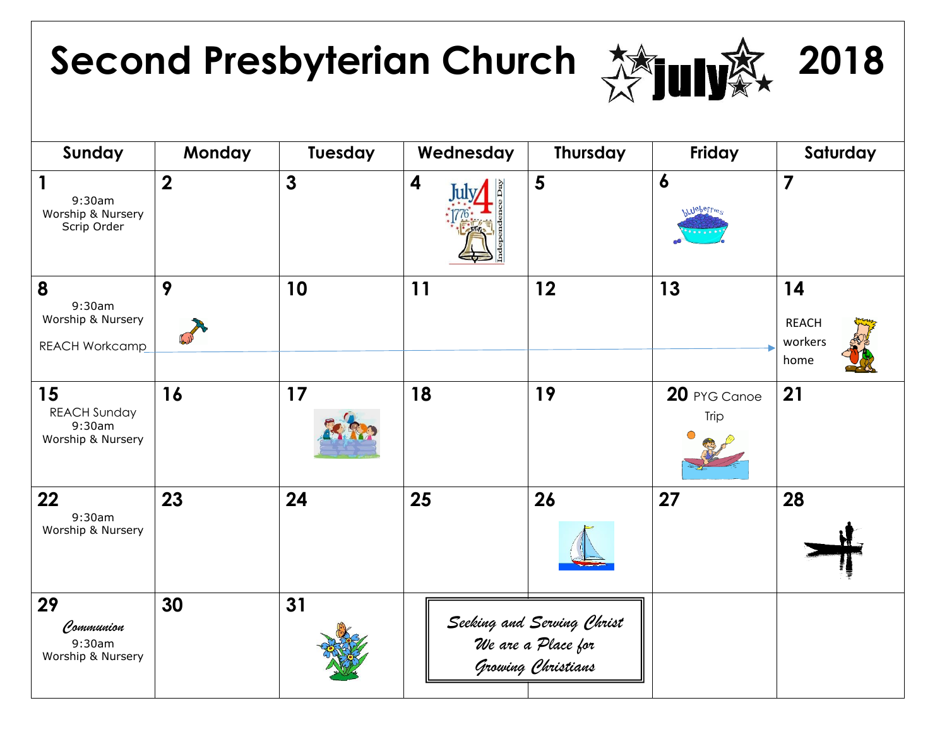# Second Presbyterian Church 然mm资 2018

| Sunday                                                    | Monday                  | Tuesday      | Wednesday               | Thursday                                                               | Friday                               | Saturday                              |
|-----------------------------------------------------------|-------------------------|--------------|-------------------------|------------------------------------------------------------------------|--------------------------------------|---------------------------------------|
| 1<br>9:30am<br>Worship & Nursery<br>Scrip Order           | $\overline{\mathbf{2}}$ | $\mathbf{3}$ | $\overline{\mathbf{4}}$ | 5                                                                      | $\boldsymbol{6}$<br><b>Whepelves</b> | $\overline{\mathbf{z}}$               |
| 8<br>9:30am<br>Worship & Nursery<br><b>REACH Workcamp</b> | 9                       | 10           | 11                      | 12                                                                     | 13                                   | 14<br><b>REACH</b><br>workers<br>home |
| 15<br><b>REACH Sunday</b><br>9:30am<br>Worship & Nursery  | 16                      | 17           | 18                      | 19                                                                     | 20 PYG Canoe<br>Trip                 | 21                                    |
| 22<br>9:30am<br>Worship & Nursery                         | 23                      | 24           | 25                      | 26                                                                     | 27                                   | 28                                    |
| 29<br>Communion<br>9:30am<br>Worship & Nursery            | 30                      | 31           |                         | Seeking and Serving Christ<br>We are a Place for<br>Growing Christians |                                      |                                       |